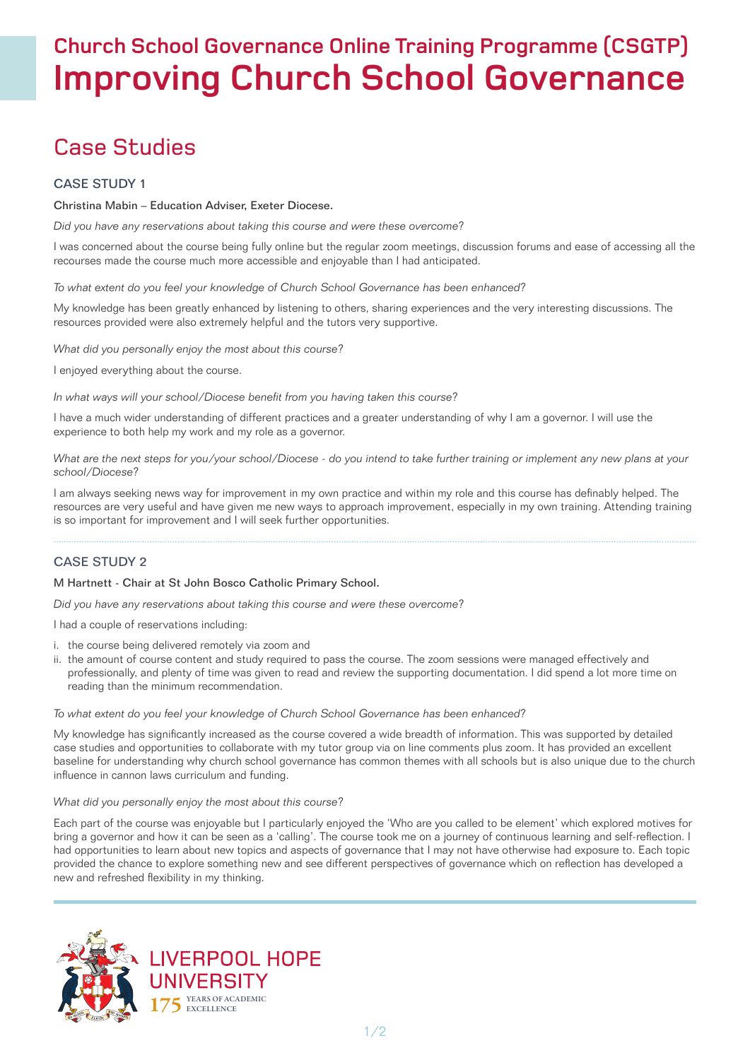# **Church School Governance Online Training Programme (CSGTP) Improving Church School Governance**

# Case Studies

# CASE STUDY 1

## Christina Mabin – Education Adviser, Exeter Diocese.

*Did you have any reservations about taking this course and were these overcome?*

I was concerned about the course being fully online but the regular zoom meetings, discussion forums and ease of accessing all the recourses made the course much more accessible and enjoyable than I had anticipated.

*To what extent do you feel your knowledge of Church School Governance has been enhanced?* 

My knowledge has been greatly enhanced by listening to others, sharing experiences and the very interesting discussions. The resources provided were also extremely helpful and the tutors very supportive.

*What did you personally enjoy the most about this course?* 

I enjoyed everything about the course.

*In what ways will your school/Diocese benefit from you having taken this course?*

I have a much wider understanding of different practices and a greater understanding of why I am a governor. I will use the experience to both help my work and my role as a governor.

*What are the next steps for you/your school/Diocese - do you intend to take further training or implement any new plans at your school/Diocese?* 

I am always seeking news way for improvement in my own practice and within my role and this course has definably helped. The resources are very useful and have given me new ways to approach improvement, especially in my own training. Attending training is so important for improvement and I will seek further opportunities.

# CASE STUDY 2

#### M Hartnett - Chair at St John Bosco Catholic Primary School.

*Did you have any reservations about taking this course and were these overcome?*

I had a couple of reservations including:

- i. the course being delivered remotely via zoom and
- ii. the amount of course content and study required to pass the course. The zoom sessions were managed effectively and professionally, and plenty of time was given to read and review the supporting documentation. I did spend a lot more time on reading than the minimum recommendation.

#### *To what extent do you feel your knowledge of Church School Governance has been enhanced?*

My knowledge has significantly increased as the course covered a wide breadth of information. This was supported by detailed case studies and opportunities to collaborate with my tutor group via on line comments plus zoom. It has provided an excellent baseline for understanding why church school governance has common themes with all schools but is also unique due to the church influence in cannon laws curriculum and funding.

#### *What did you personally enjoy the most about this course?*

Each part of the course was enjoyable but I particularly enjoyed the 'Who are you called to be element' which explored motives for bring a governor and how it can be seen as a 'calling'. The course took me on a journey of continuous learning and self-reflection. I had opportunities to learn about new topics and aspects of governance that I may not have otherwise had exposure to. Each topic provided the chance to explore something new and see different perspectives of governance which on reflection has developed a new and refreshed flexibility in my thinking.



**LIVERPOOL HOPE** UNIVERSITY **5** YEARS OF ACADEMIC